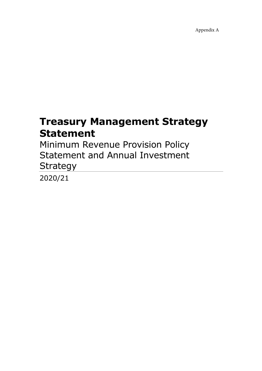Appendix A

# Treasury Management Strategy Statement

Minimum Revenue Provision Policy Statement and Annual Investment **Strategy** 

2020/21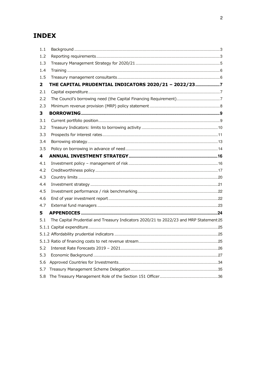### **INDEX**

| 1.1          |                                                                                        |  |
|--------------|----------------------------------------------------------------------------------------|--|
| 1.2          |                                                                                        |  |
| 1.3          |                                                                                        |  |
| 1.4          |                                                                                        |  |
| 1.5          |                                                                                        |  |
| $\mathbf{2}$ | THE CAPITAL PRUDENTIAL INDICATORS 2020/21 - 2022/237                                   |  |
| 2.1          |                                                                                        |  |
| 2.2          |                                                                                        |  |
| 2.3          |                                                                                        |  |
| 3            |                                                                                        |  |
| 3.1          |                                                                                        |  |
| 3.2          |                                                                                        |  |
| 3.3          |                                                                                        |  |
| 3.4          |                                                                                        |  |
| 3.5          |                                                                                        |  |
| 4            |                                                                                        |  |
| 4.1          |                                                                                        |  |
| 4.2          |                                                                                        |  |
| 4.3          |                                                                                        |  |
| 4.4          |                                                                                        |  |
| 4.5          |                                                                                        |  |
| 4.6          |                                                                                        |  |
| 4.7          |                                                                                        |  |
| 5.           |                                                                                        |  |
| 5.1          | The Capital Prudential and Treasury Indicators 2020/21 to 2022/23 and MRP Statement 25 |  |
|              |                                                                                        |  |
|              |                                                                                        |  |
|              |                                                                                        |  |
| 5.2          |                                                                                        |  |
| 5.3          |                                                                                        |  |
| 5.6          |                                                                                        |  |
| 5.7          |                                                                                        |  |
| 5.8          |                                                                                        |  |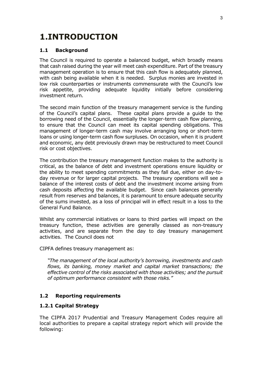## 1.INTRODUCTION

#### 1.1 Background

The Council is required to operate a balanced budget, which broadly means that cash raised during the year will meet cash expenditure. Part of the treasury management operation is to ensure that this cash flow is adequately planned, with cash being available when it is needed. Surplus monies are invested in low risk counterparties or instruments commensurate with the Council's low risk appetite, providing adequate liquidity initially before considering investment return.

The second main function of the treasury management service is the funding of the Council's capital plans. These capital plans provide a guide to the borrowing need of the Council, essentially the longer-term cash flow planning, to ensure that the Council can meet its capital spending obligations. This management of longer-term cash may involve arranging long or short-term loans or using longer-term cash flow surpluses. On occasion, when it is prudent and economic, any debt previously drawn may be restructured to meet Council risk or cost objectives.

The contribution the treasury management function makes to the authority is critical, as the balance of debt and investment operations ensure liquidity or the ability to meet spending commitments as they fall due, either on day-today revenue or for larger capital projects. The treasury operations will see a balance of the interest costs of debt and the investment income arising from cash deposits affecting the available budget. Since cash balances generally result from reserves and balances, it is paramount to ensure adequate security of the sums invested, as a loss of principal will in effect result in a loss to the General Fund Balance.

Whilst any commercial initiatives or loans to third parties will impact on the treasury function, these activities are generally classed as non-treasury activities, and are separate from the day to day treasury management activities. The Council does not

CIPFA defines treasury management as:

"The management of the local authority's borrowing, investments and cash flows, its banking, money market and capital market transactions; the effective control of the risks associated with those activities; and the pursuit of optimum performance consistent with those risks."

#### 1.2 Reporting requirements

#### 1.2.1 Capital Strategy

The CIPFA 2017 Prudential and Treasury Management Codes require all local authorities to prepare a capital strategy report which will provide the following: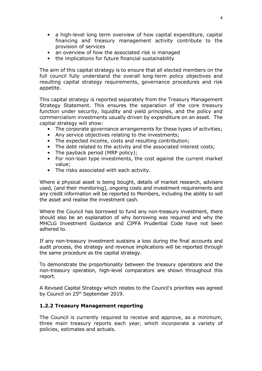- a high-level long term overview of how capital expenditure, capital financing and treasury management activity contribute to the provision of services
- an overview of how the associated risk is managed
- the implications for future financial sustainability

The aim of this capital strategy is to ensure that all elected members on the full council fully understand the overall long-term policy objectives and resulting capital strategy requirements, governance procedures and risk appetite.

This capital strategy is reported separately from the Treasury Management Strategy Statement. This ensures the separation of the core treasury function under security, liquidity and yield principles, and the policy and commercialism investments usually driven by expenditure on an asset. The capital strategy will show:

- The corporate governance arrangements for these types of activities;
- Any service objectives relating to the investments;
- The expected income, costs and resulting contribution;
- The debt related to the activity and the associated interest costs;
- The payback period (MRP policy);
- For non-loan type investments, the cost against the current market value;
- The risks associated with each activity.

Where a physical asset is being bought, details of market research, advisers used, (and their monitoring), ongoing costs and investment requirements and any credit information will be reported to Members, including the ability to sell the asset and realise the investment cash.

Where the Council has borrowed to fund any non-treasury investment, there should also be an explanation of why borrowing was required and why the MHCLG Investment Guidance and CIPFA Prudential Code have not been adhered to.

If any non-treasury investment sustains a loss during the final accounts and audit process, the strategy and revenue implications will be reported through the same procedure as the capital strategy.

To demonstrate the proportionality between the treasury operations and the non-treasury operation, high-level comparators are shown throughout this report.

A Revised Capital Strategy which relates to the Council's priorities was agreed bv Council on 25<sup>th</sup> September 2019.

#### 1.2.2 Treasury Management reporting

The Council is currently required to receive and approve, as a minimum, three main treasury reports each year, which incorporate a variety of policies, estimates and actuals.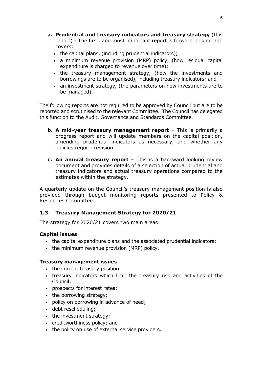- a. Prudential and treasury indicators and treasury strategy (this report) - The first, and most important report is forward looking and covers:
	- the capital plans, (including prudential indicators);
	- a minimum revenue provision (MRP) policy, (how residual capital expenditure is charged to revenue over time);
	- the treasury management strategy, (how the investments and borrowings are to be organised), including treasury indicators; and
	- an investment strategy, (the parameters on how investments are to be managed).

The following reports are not required to be approved by Council but are to be reported and scrutinised to the relevant Committee. The Council has delegated this function to the Audit, Governance and Standards Committee.

- **b. A mid-year treasury management report** This is primarily a progress report and will update members on the capital position, amending prudential indicators as necessary, and whether any policies require revision.
- c. An annual treasury report This is a backward looking review document and provides details of a selection of actual prudential and treasury indicators and actual treasury operations compared to the estimates within the strategy.

A quarterly update on the Council's treasury management position is also provided through budget monitoring reports presented to Policy & Resources Committee.

#### 1.3 Treasury Management Strategy for 2020/21

The strategy for 2020/21 covers two main areas:

#### Capital issues

- the capital expenditure plans and the associated prudential indicators;
- the minimum revenue provision (MRP) policy.

#### Treasury management issues

- the current treasury position;
- treasury indicators which limit the treasury risk and activities of the Council;
- prospects for interest rates;
- the borrowing strategy;
- policy on borrowing in advance of need;
- debt rescheduling;
- the investment strategy;
- creditworthiness policy; and
- the policy on use of external service providers.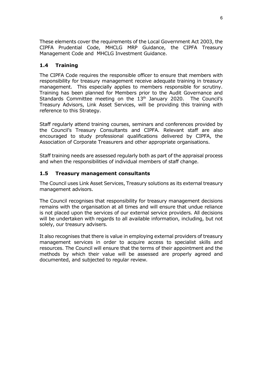These elements cover the requirements of the Local Government Act 2003, the CIPFA Prudential Code, MHCLG MRP Guidance, the CIPFA Treasury Management Code and MHCLG Investment Guidance.

#### 1.4 Training

The CIPFA Code requires the responsible officer to ensure that members with responsibility for treasury management receive adequate training in treasury management. This especially applies to members responsible for scrutiny. Training has been planned for Members prior to the Audit Governance and Standards Committee meeting on the 13<sup>th</sup> January 2020. The Council's Treasury Advisors, Link Asset Services, will be providing this training with reference to this Strategy.

Staff regularly attend training courses, seminars and conferences provided by the Council's Treasury Consultants and CIPFA. Relevant staff are also encouraged to study professional qualifications delivered by CIPFA, the Association of Corporate Treasurers and other appropriate organisations.

Staff training needs are assessed regularly both as part of the appraisal process and when the responsibilities of individual members of staff change.

#### 1.5 Treasury management consultants

The Council uses Link Asset Services, Treasury solutions as its external treasury management advisors.

The Council recognises that responsibility for treasury management decisions remains with the organisation at all times and will ensure that undue reliance is not placed upon the services of our external service providers. All decisions will be undertaken with regards to all available information, including, but not solely, our treasury advisers.

It also recognises that there is value in employing external providers of treasury management services in order to acquire access to specialist skills and resources. The Council will ensure that the terms of their appointment and the methods by which their value will be assessed are properly agreed and documented, and subjected to regular review.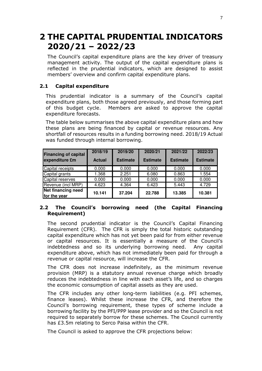## 2 THE CAPITAL PRUDENTIAL INDICATORS 2020/21 – 2022/23

The Council's capital expenditure plans are the key driver of treasury management activity. The output of the capital expenditure plans is reflected in the prudential indicators, which are designed to assist members' overview and confirm capital expenditure plans.

#### 2.1 Capital expenditure

This prudential indicator is a summary of the Council's capital expenditure plans, both those agreed previously, and those forming part of this budget cycle. Members are asked to approve the capital expenditure forecasts.

The table below summarises the above capital expenditure plans and how these plans are being financed by capital or revenue resources. Any shortfall of resources results in a funding borrowing need. 2018/19 Actual was funded through internal borrowing.

| <b>Financing of capital</b><br>expenditure £m | 2018/19<br><b>Actual</b> | 2019/20<br><b>Estimate</b> | 2020/21<br><b>Estimate</b> | 2021/22<br><b>Estimate</b> | 2022/23<br><b>Estimate</b> |
|-----------------------------------------------|--------------------------|----------------------------|----------------------------|----------------------------|----------------------------|
| Capital receipts                              | 0.000                    | 0.000                      | 0.000                      | 0.000                      | 0.000                      |
| Capital grants                                | 1.368                    | 2.251                      | 6.080                      | 0.863                      | 1.554                      |
| Capital reserves                              | 0.000                    | 0.000                      | 0.000                      | 0.000                      | 0.000                      |
| Revenue (incl MRP)                            | 4.623                    | 4.364                      | 6.423                      | 5.443                      | 4.729                      |
| <b>Net financing need</b><br>for the year     | 10.141                   | 37.204                     | 22.788                     | 13.385                     | 10.381                     |

#### 2.2 The Council's borrowing need (the Capital Financing Requirement)

The second prudential indicator is the Council's Capital Financing Requirement (CFR). The CFR is simply the total historic outstanding capital expenditure which has not yet been paid for from either revenue or capital resources. It is essentially a measure of the Council's indebtedness and so its underlying borrowing need. Any capital expenditure above, which has not immediately been paid for through a revenue or capital resource, will increase the CFR.

The CFR does not increase indefinitely, as the minimum revenue provision (MRP) is a statutory annual revenue charge which broadly reduces the indebtedness in line with each asset's life, and so charges the economic consumption of capital assets as they are used.

The CFR includes any other long-term liabilities (e.g. PFI schemes, finance leases). Whilst these increase the CFR, and therefore the Council's borrowing requirement, these types of scheme include a borrowing facility by the PFI/PPP lease provider and so the Council is not required to separately borrow for these schemes. The Council currently has £3.5m relating to Serco Paisa within the CFR.

The Council is asked to approve the CFR projections below: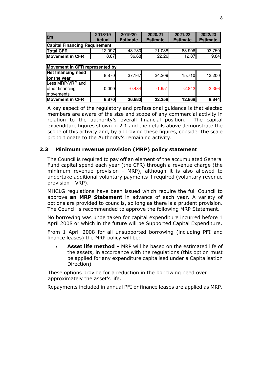| £m                                   | 2018/19<br><b>Actual</b> | 2019/20<br><b>Estimate</b> | 2020/21<br><b>Estimate</b> | 2021/22<br><b>Estimate</b> | 2022/23<br><b>Estimate</b> |
|--------------------------------------|--------------------------|----------------------------|----------------------------|----------------------------|----------------------------|
| <b>Capital Financing Requirement</b> |                          |                            |                            |                            |                            |
| <b>ITotal CFR</b>                    | 12.097                   | 48.780                     | 71.038                     | 83.906                     | 93.750                     |
| <b>Movement in CFR</b>               | 8.87                     | 36.68                      | 22.26                      | 12.87                      | 9.84                       |

| Movement in CFR represented by |       |          |          |          |          |  |  |  |  |
|--------------------------------|-------|----------|----------|----------|----------|--|--|--|--|
| <b>Net financing need</b>      | 8.870 | 37.167   |          |          |          |  |  |  |  |
| for the year                   |       |          | 24.209   | 15.710   | 13.200   |  |  |  |  |
| Less MRP/VRP and               |       |          |          |          |          |  |  |  |  |
| other financing                | 0.000 | $-0.484$ | $-1.951$ | $-2.842$ | $-3.356$ |  |  |  |  |
| <b>Imovements</b>              |       |          |          |          |          |  |  |  |  |
| <b>Movement in CFR</b>         | 8.870 | 36.683   | 22.258   | 12.868   | 9.844    |  |  |  |  |

A key aspect of the regulatory and professional guidance is that elected members are aware of the size and scope of any commercial activity in relation to the authority's overall financial position. The capital expenditure figures shown in 2.1 and the details above demonstrate the scope of this activity and, by approving these figures, consider the scale proportionate to the Authority's remaining activity.

#### 2.3 Minimum revenue provision (MRP) policy statement

The Council is required to pay off an element of the accumulated General Fund capital spend each year (the CFR) through a revenue charge (the minimum revenue provision - MRP), although it is also allowed to undertake additional voluntary payments if required (voluntary revenue provision - VRP).

MHCLG regulations have been issued which require the full Council to approve an MRP Statement in advance of each year. A variety of options are provided to councils, so long as there is a prudent provision. The Council is recommended to approve the following MRP Statement.

No borrowing was undertaken for capital expenditure incurred before 1 April 2008 or which in the future will be Supported Capital Expenditure.

From 1 April 2008 for all unsupported borrowing (including PFI and finance leases) the MRP policy will be:

Asset life method - MRP will be based on the estimated life of the assets, in accordance with the regulations (this option must be applied for any expenditure capitalised under a Capitalisation Direction)

These options provide for a reduction in the borrowing need over approximately the asset's life.

Repayments included in annual PFI or finance leases are applied as MRP.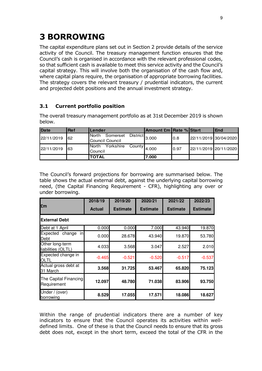## 3 BORROWING

The capital expenditure plans set out in Section 2 provide details of the service activity of the Council. The treasury management function ensures that the Council's cash is organised in accordance with the relevant professional codes, so that sufficient cash is available to meet this service activity and the Council's capital strategy. This will involve both the organisation of the cash flow and, where capital plans require, the organisation of appropriate borrowing facilities. The strategy covers the relevant treasury / prudential indicators, the current and projected debt positions and the annual investment strategy.

#### 3.1 Current portfolio position

The overall treasury management portfolio as at 31st December 2019 is shown below.

| Date       | <b>Ref</b> | Lender                                                                          | <b>Amount £m Rate % Start</b> |      | <b>IEnd</b>           |
|------------|------------|---------------------------------------------------------------------------------|-------------------------------|------|-----------------------|
| 22/11/2019 | 62         | Somerset<br>$\overline{\phantom{a}}$ District 3.000<br>North<br>Council Council |                               | 0.8  | 22/11/2019 30/04/2020 |
| 22/11/2019 | 63         | Yorkshire<br>North<br>$\approx$ County 4.000<br>Council                         |                               | 0.97 | 22/11/2019 20/11/2020 |
|            |            | <b>TOTAL</b>                                                                    | 7.000                         |      |                       |

The Council's forward projections for borrowing are summarised below. The table shows the actual external debt, against the underlying capital borrowing need, (the Capital Financing Requirement - CFR), highlighting any over or under borrowing.

|                                       | 2018/19       | 2019/20         | 2020/21         | 2021/22         | 2022/23         |
|---------------------------------------|---------------|-----------------|-----------------|-----------------|-----------------|
| £m                                    | <b>Actual</b> | <b>Estimate</b> | <b>Estimate</b> | <b>Estimate</b> | <b>Estimate</b> |
| <b>IExternal Debt</b>                 |               |                 |                 |                 |                 |
| Debt at 1 April                       | 0.000         | 0.000           | 7.000           | 43.940          | 19.870          |
| in<br>Expected change<br>Debt         | 0.000         | 28.678          | 43.940          | 19.870          | 53.780          |
| Other long-term<br>liabilities (OLTL) | 4.033         | 3.568           | 3.047           | 2.527           | 2.010           |
| Expected change in<br><b>OLTL</b>     | $-0.465$      | $-0.521$        | $-0.520$        | $-0.517$        | $-0.537$        |
| Actual gross debt at<br>31 March      | 3.568         | 31.725          | 53.467          | 65.820          | 75.123          |
| The Capital Financing<br>Requirement  | 12.097        | 48.780          | 71.038          | 83.906          | 93.750          |
| Under / (over)<br>borrowing           | 8.529         | 17.055          | 17.571          | 18.086          | 18.627          |

Within the range of prudential indicators there are a number of key indicators to ensure that the Council operates its activities within welldefined limits. One of these is that the Council needs to ensure that its gross debt does not, except in the short term, exceed the total of the CFR in the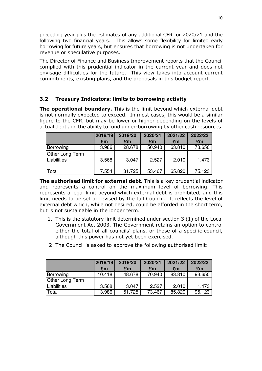preceding year plus the estimates of any additional CFR for 2020/21 and the following two financial years. This allows some flexibility for limited early borrowing for future years, but ensures that borrowing is not undertaken for revenue or speculative purposes.

The Director of Finance and Business Improvement reports that the Council complied with this prudential indicator in the current year and does not envisage difficulties for the future. This view takes into account current commitments, existing plans, and the proposals in this budget report.

#### 3.2 Treasury Indicators: limits to borrowing activity

The operational boundary. This is the limit beyond which external debt is not normally expected to exceed. In most cases, this would be a similar figure to the CFR, but may be lower or higher depending on the levels of actual debt and the ability to fund under-borrowing by other cash resources.

|                 | 2018/19 | 2019/20 | 2020/21 | 2021/22 | 2022/23 |
|-----------------|---------|---------|---------|---------|---------|
|                 | £m      | £m      | £m      | £m      | £m      |
| Borrowing       | 3.986   | 28.678  | 50.940  | 63.810  | 73.650  |
| Other Long Term |         |         |         |         |         |
| Liabilities     | 3.568   | 3.047   | 2.527   | 2.010   | 1.473   |
|                 |         |         |         |         |         |
| Total           | 7.554   | 31.725  | 53.467  | 65.820  | 75.123  |

The authorised limit for external debt. This is a key prudential indicator and represents a control on the maximum level of borrowing. This represents a legal limit beyond which external debt is prohibited, and this limit needs to be set or revised by the full Council. It reflects the level of external debt which, while not desired, could be afforded in the short term, but is not sustainable in the longer term.

- 1. This is the statutory limit determined under section 3 (1) of the Local Government Act 2003. The Government retains an option to control either the total of all councils' plans, or those of a specific council, although this power has not yet been exercised.
- 2. The Council is asked to approve the following authorised limit:

|                 | 2018/19 | 2019/20 | 2020/21 | 2021/22 | 2022/23 |
|-----------------|---------|---------|---------|---------|---------|
|                 | £m      | £m      | £m      | £m      | £m      |
| Borrowing       | 10.418  | 48.678  | 70.940  | 83.810  | 93.650  |
| Other Long Term |         |         |         |         |         |
| Liabilities     | 3.568   | 3.047   | 2.527   | 2.010   | 1.473   |
| Total           | 13.986  | 51.725  | 73.467  | 85.820  | 95.123  |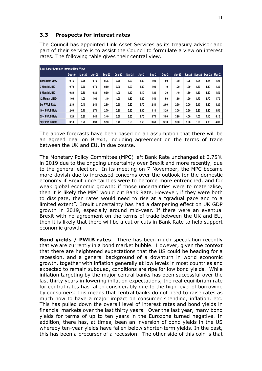#### 3.3 Prospects for interest rates

The Council has appointed Link Asset Services as its treasury advisor and part of their service is to assist the Council to formulate a view on interest rates. The following table gives their central view.

| <b>Link Asset Services Interest Rate View</b> |        |               |               |        |        |               |               |        |        |               |      |                             |      |      |
|-----------------------------------------------|--------|---------------|---------------|--------|--------|---------------|---------------|--------|--------|---------------|------|-----------------------------|------|------|
|                                               | Dec-19 | <b>Mar-20</b> | <b>Jun-20</b> | Sep-20 | Dec-20 | <b>Mar-21</b> | <b>Jun-21</b> | Sep-21 | Dec-21 | <b>Mar-22</b> |      | Jun-22 Sep-22 Dec-22 Mar-23 |      |      |
| <b>Bank Rate View</b>                         | 0.75   | 0.75          | 0.75          | 0.75   | 0.75   | 1.00          | 1.00          | 1.00   | 1.00   | 1.00          | 1.25 | 1.25                        | 1.25 | 1.25 |
| 3 Month LIBID                                 | 0.70   | 0.70          | 0.70          | 0.80   | 0.90   | 1.00          | 1.00          | 1.00   | 1.10   | 1.20          | 1.30 | 1.30                        | 1.30 | 1.30 |
| <b>6 Month LIBID</b>                          | 0.80   | 0.80          | 0.80          | 0.90   | 1.00   | 1.10          | 1.10          | 1.20   | 1.30   | 1.40          | 1.50 | 1.50                        | 1.50 | 1.50 |
| <b>12 Month LIBID</b>                         | 1.00   | 1.00          | 1.00          | 1.10   | 1.20   | 1.30          | 1.30          | 1.40   | 1.50   | 1.60          | 1.70 | 1.70                        | 1.70 | 1.70 |
| <b>5vr PWLB Rate</b>                          | 2.30   | 2.40          | 2.40          | 2.50   | 2.50   | 2.60          | 2.70          | 2.80   | 2.90   | 2.90          | 3.00 | 3.10                        | 3.20 | 3.20 |
| 10yr PWLB Rate                                | 2.60   | 2.70          | 2.70          | 2.70   | 2.80   | 2.90          | 3.00          | 3.10   | 3.20   | 3.20          | 3.30 | 3.30                        | 3.40 | 3.50 |
| 25yr PWLB Rate                                | 3.20   | 3.30          | 3.40          | 3.40   | 3.50   | 3.60          | 3.70          | 3.70   | 3.80   | 3.90          | 4.00 | 4.00                        | 4.10 | 4.10 |
| 50yr PWLB Rate                                | 3.10   | 3.20          | 3.30          | 3.30   | 3.40   | 3.50          | 3.60          | 3.60   | 3.70   | 3.80          | 3.90 | 3.90                        | 4.00 | 4.00 |

The above forecasts have been based on an assumption that there will be an agreed deal on Brexit, including agreement on the terms of trade between the UK and EU, in due course.

The Monetary Policy Committee (MPC) left Bank Rate unchanged at 0.75% in 2019 due to the ongoing uncertainty over Brexit and more recently, due to the general election. In its meeting on 7 November, the MPC became more dovish due to increased concerns over the outlook for the domestic economy if Brexit uncertainties were to become more entrenched, and for weak global economic growth: if those uncertainties were to materialise, then it is likely the MPC would cut Bank Rate. However, if they were both to dissipate, then rates would need to rise at a "gradual pace and to a limited extent". Brexit uncertainty has had a dampening effect on UK GDP growth in 2019, especially around mid-year. If there were an eventual Brexit with no agreement on the terms of trade between the UK and EU, then it is likely that there will be a cut or cuts in Bank Rate to help support economic growth.

Bond yields / PWLB rates. There has been much speculation recently that we are currently in a bond market bubble. However, given the context that there are heightened expectations that the US could be heading for a recession, and a general background of a downturn in world economic growth, together with inflation generally at low levels in most countries and expected to remain subdued, conditions are ripe for low bond yields. While inflation targeting by the major central banks has been successful over the last thirty years in lowering inflation expectations, the real equilibrium rate for central rates has fallen considerably due to the high level of borrowing by consumers: this means that central banks do not need to raise rates as much now to have a major impact on consumer spending, inflation, etc. This has pulled down the overall level of interest rates and bond yields in financial markets over the last thirty years. Over the last year, many bond yields for terms of up to ten years in the Eurozone turned negative. In addition, there has, at times, been an inversion of bond yields in the US whereby ten-year yields have fallen below shorter-term yields. In the past, this has been a precursor of a recession. The other side of this coin is that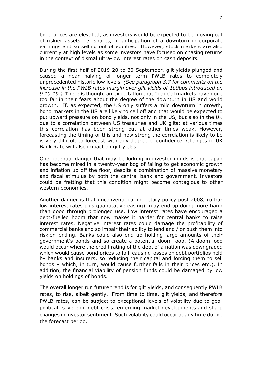bond prices are elevated, as investors would be expected to be moving out of riskier assets i.e. shares, in anticipation of a downturn in corporate earnings and so selling out of equities. However, stock markets are also currently at high levels as some investors have focused on chasing returns in the context of dismal ultra-low interest rates on cash deposits.

During the first half of 2019-20 to 30 September, gilt yields plunged and caused a near halving of longer term PWLB rates to completely unprecedented historic low levels. (See paragraph 3.7 for comments on the increase in the PWLB rates margin over gilt yields of 100bps introduced on 9.10.19.) There is though, an expectation that financial markets have gone too far in their fears about the degree of the downturn in US and world growth. If, as expected, the US only suffers a mild downturn in growth, bond markets in the US are likely to sell off and that would be expected to put upward pressure on bond yields, not only in the US, but also in the UK due to a correlation between US treasuries and UK gilts; at various times this correlation has been strong but at other times weak. However, forecasting the timing of this and how strong the correlation is likely to be is very difficult to forecast with any degree of confidence. Changes in UK Bank Rate will also impact on gilt yields.

One potential danger that may be lurking in investor minds is that Japan has become mired in a twenty-year bog of failing to get economic growth and inflation up off the floor, despite a combination of massive monetary and fiscal stimulus by both the central bank and government. Investors could be fretting that this condition might become contagious to other western economies.

Another danger is that unconventional monetary policy post 2008, (ultralow interest rates plus quantitative easing), may end up doing more harm than good through prolonged use. Low interest rates have encouraged a debt-fuelled boom that now makes it harder for central banks to raise interest rates. Negative interest rates could damage the profitability of commercial banks and so impair their ability to lend and / or push them into riskier lending. Banks could also end up holding large amounts of their government's bonds and so create a potential doom loop. (A doom loop would occur where the credit rating of the debt of a nation was downgraded which would cause bond prices to fall, causing losses on debt portfolios held by banks and insurers, so reducing their capital and forcing them to sell bonds – which, in turn, would cause further falls in their prices etc.). In addition, the financial viability of pension funds could be damaged by low yields on holdings of bonds.

The overall longer run future trend is for gilt yields, and consequently PWLB rates, to rise, albeit gently. From time to time, gilt yields, and therefore PWLB rates, can be subject to exceptional levels of volatility due to geopolitical, sovereign debt crisis, emerging market developments and sharp changes in investor sentiment. Such volatility could occur at any time during the forecast period.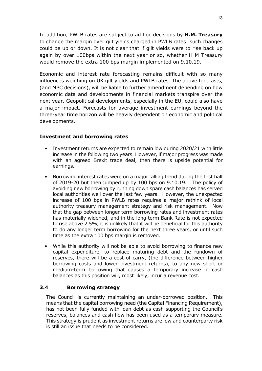In addition, PWLB rates are subject to ad hoc decisions by H.M. Treasury to change the margin over gilt yields charged in PWLB rates: such changes could be up or down. It is not clear that if gilt yields were to rise back up again by over 100bps within the next year or so, whether H M Treasury would remove the extra 100 bps margin implemented on 9.10.19.

Economic and interest rate forecasting remains difficult with so many influences weighing on UK gilt yields and PWLB rates. The above forecasts, (and MPC decisions), will be liable to further amendment depending on how economic data and developments in financial markets transpire over the next year. Geopolitical developments, especially in the EU, could also have a major impact. Forecasts for average investment earnings beyond the three-year time horizon will be heavily dependent on economic and political developments.

#### Investment and borrowing rates

- Investment returns are expected to remain low during 2020/21 with little increase in the following two years. However, if major progress was made with an agreed Brexit trade deal, then there is upside potential for earnings.
- Borrowing interest rates were on a major falling trend during the first half of 2019-20 but then jumped up by 100 bps on 9.10.19. The policy of avoiding new borrowing by running down spare cash balances has served local authorities well over the last few years. However, the unexpected increase of 100 bps in PWLB rates requires a major rethink of local authority treasury management strategy and risk management. Now that the gap between longer term borrowing rates and investment rates has materially widened, and in the long term Bank Rate is not expected to rise above 2.5%, it is unlikely that it will be beneficial for this authority to do any longer term borrowing for the next three years, or until such time as the extra 100 bps margin is removed.
- While this authority will not be able to avoid borrowing to finance new capital expenditure, to replace maturing debt and the rundown of reserves, there will be a cost of carry, (the difference between higher borrowing costs and lower investment returns), to any new short or medium-term borrowing that causes a temporary increase in cash balances as this position will, most likely, incur a revenue cost.

#### 3.4 Borrowing strategy

The Council is currently maintaining an under-borrowed position. This means that the capital borrowing need (the Capital Financing Requirement), has not been fully funded with loan debt as cash supporting the Council's reserves, balances and cash flow has been used as a temporary measure. This strategy is prudent as investment returns are low and counterparty risk is still an issue that needs to be considered.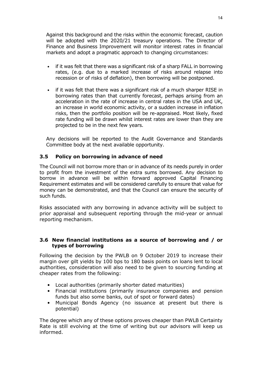Against this background and the risks within the economic forecast, caution will be adopted with the 2020/21 treasury operations. The Director of Finance and Business Improvement will monitor interest rates in financial markets and adopt a pragmatic approach to changing circumstances:

- if it was felt that there was a significant risk of a sharp FALL in borrowing rates, (e.g. due to a marked increase of risks around relapse into recession or of risks of deflation), then borrowing will be postponed.
- if it was felt that there was a significant risk of a much sharper RISE in borrowing rates than that currently forecast, perhaps arising from an acceleration in the rate of increase in central rates in the USA and UK, an increase in world economic activity, or a sudden increase in inflation risks, then the portfolio position will be re-appraised. Most likely, fixed rate funding will be drawn whilst interest rates are lower than they are projected to be in the next few years.

Any decisions will be reported to the Audit Governance and Standards Committee body at the next available opportunity.

#### 3.5 Policy on borrowing in advance of need

The Council will not borrow more than or in advance of its needs purely in order to profit from the investment of the extra sums borrowed. Any decision to borrow in advance will be within forward approved Capital Financing Requirement estimates and will be considered carefully to ensure that value for money can be demonstrated, and that the Council can ensure the security of such funds.

Risks associated with any borrowing in advance activity will be subject to prior appraisal and subsequent reporting through the mid-year or annual reporting mechanism.

#### 3.6 New financial institutions as a source of borrowing and / or types of borrowing

Following the decision by the PWLB on 9 October 2019 to increase their margin over gilt yields by 100 bps to 180 basis points on loans lent to local authorities, consideration will also need to be given to sourcing funding at cheaper rates from the following:

- Local authorities (primarily shorter dated maturities)
- Financial institutions (primarily insurance companies and pension funds but also some banks, out of spot or forward dates)
- Municipal Bonds Agency (no issuance at present but there is potential)

The degree which any of these options proves cheaper than PWLB Certainty Rate is still evolving at the time of writing but our advisors will keep us informed.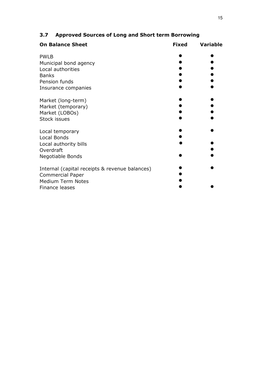| <b>On Balance Sheet</b>                        | <b>Fixed</b> | <b>Variable</b> |
|------------------------------------------------|--------------|-----------------|
| <b>PWLB</b>                                    |              |                 |
| Municipal bond agency                          |              |                 |
| Local authorities                              |              |                 |
| <b>Banks</b>                                   |              |                 |
| Pension funds                                  |              |                 |
| Insurance companies                            |              |                 |
| Market (long-term)                             |              |                 |
| Market (temporary)                             |              |                 |
| Market (LOBOs)                                 |              |                 |
| <b>Stock issues</b>                            |              |                 |
| Local temporary                                |              |                 |
| Local Bonds                                    |              |                 |
| Local authority bills                          |              |                 |
| Overdraft                                      |              |                 |
| Negotiable Bonds                               |              |                 |
| Internal (capital receipts & revenue balances) |              |                 |
| <b>Commercial Paper</b>                        |              |                 |
| <b>Medium Term Notes</b>                       |              |                 |
| Finance leases                                 |              |                 |

### 3.7 Approved Sources of Long and Short term Borrowing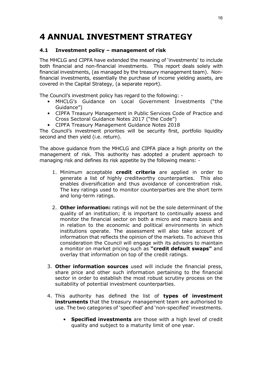## 4 ANNUAL INVESTMENT STRATEGY

#### 4.1 Investment policy – management of risk

The MHCLG and CIPFA have extended the meaning of 'investments' to include both financial and non-financial investments. This report deals solely with financial investments, (as managed by the treasury management team). Nonfinancial investments, essentially the purchase of income yielding assets, are covered in the Capital Strategy, (a separate report).

The Council's investment policy has regard to the following: -

- MHCLG's Guidance on Local Government Investments ("the Guidance")
- CIPFA Treasury Management in Public Services Code of Practice and Cross Sectoral Guidance Notes 2017 ("the Code")
- CIPFA Treasury Management Guidance Notes 2018

The Council's investment priorities will be security first, portfolio liquidity second and then yield (i.e. return).

The above guidance from the MHCLG and CIPFA place a high priority on the management of risk. This authority has adopted a prudent approach to managing risk and defines its risk appetite by the following means: -

- 1. Minimum acceptable credit criteria are applied in order to generate a list of highly creditworthy counterparties. This also enables diversification and thus avoidance of concentration risk. The key ratings used to monitor counterparties are the short term and long-term ratings.
- 2. Other information: ratings will not be the sole determinant of the quality of an institution; it is important to continually assess and monitor the financial sector on both a micro and macro basis and in relation to the economic and political environments in which institutions operate. The assessment will also take account of information that reflects the opinion of the markets. To achieve this consideration the Council will engage with its advisors to maintain a monitor on market pricing such as "credit default swaps" and overlay that information on top of the credit ratings.
- 3. Other information sources used will include the financial press, share price and other such information pertaining to the financial sector in order to establish the most robust scrutiny process on the suitability of potential investment counterparties.
- 4. This authority has defined the list of types of investment **instruments** that the treasury management team are authorised to use. The two categories of 'specified' and 'non-specified' investments.
	- Specified investments are those with a high level of credit quality and subject to a maturity limit of one year.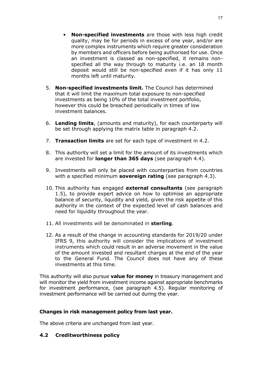- Non-specified investments are those with less high credit quality, may be for periods in excess of one year, and/or are more complex instruments which require greater consideration by members and officers before being authorised for use. Once an investment is classed as non-specified, it remains nonspecified all the way through to maturity i.e. an 18 month deposit would still be non-specified even if it has only 11 months left until maturity.
- 5. Non-specified investments limit. The Council has determined that it will limit the maximum total exposure to non-specified investments as being 10% of the total investment portfolio, however this could be breached periodically in times of low investment balances.
- 6. Lending limits, (amounts and maturity), for each counterparty will be set through applying the matrix table in paragraph 4.2.
- 7. Transaction limits are set for each type of investment in 4.2.
- 8. This authority will set a limit for the amount of its investments which are invested for **longer than 365 days** (see paragraph 4.4).
- 9. Investments will only be placed with counterparties from countries with a specified minimum **sovereign rating** (see paragraph  $4.3$ ).
- 10. This authority has engaged external consultants (see paragraph 1.5), to provide expert advice on how to optimise an appropriate balance of security, liquidity and yield, given the risk appetite of this authority in the context of the expected level of cash balances and need for liquidity throughout the year.
- 11. All investments will be denominated in sterling.
- 12. As a result of the change in accounting standards for 2019/20 under IFRS 9, this authority will consider the implications of investment instruments which could result in an adverse movement in the value of the amount invested and resultant charges at the end of the year to the General Fund. The Council does not have any of these investments at this time.

This authority will also pursue value for money in treasury management and will monitor the yield from investment income against appropriate benchmarks for investment performance, (see paragraph 4.5). Regular monitoring of investment performance will be carried out during the year.

#### Changes in risk management policy from last year.

The above criteria are unchanged from last year.

#### 4.2 Creditworthiness policy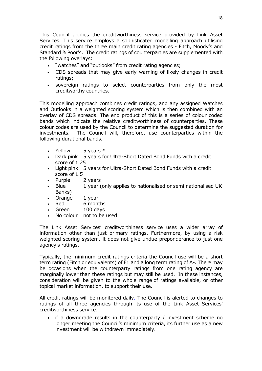This Council applies the creditworthiness service provided by Link Asset Services. This service employs a sophisticated modelling approach utilising credit ratings from the three main credit rating agencies - Fitch, Moody's and Standard & Poor's. The credit ratings of counterparties are supplemented with the following overlays:

- "watches" and "outlooks" from credit rating agencies;
- CDS spreads that may give early warning of likely changes in credit ratings;
- sovereign ratings to select counterparties from only the most creditworthy countries.

This modelling approach combines credit ratings, and any assigned Watches and Outlooks in a weighted scoring system which is then combined with an overlay of CDS spreads. The end product of this is a series of colour coded bands which indicate the relative creditworthiness of counterparties. These colour codes are used by the Council to determine the suggested duration for investments. The Council will, therefore, use counterparties within the following durational bands:

- Yellow  $5$  vears  $*$
- Dark pink 5 years for Ultra-Short Dated Bond Funds with a credit score of 1.25
- Light pink 5 years for Ultra-Short Dated Bond Funds with a credit score of 1.5
- Purple 2 years
- Blue 1 year (only applies to nationalised or semi nationalised UK Banks)
- Orange 1 year
- Red 6 months
- Green 100 days
- No colour not to be used

The Link Asset Services' creditworthiness service uses a wider array of information other than just primary ratings. Furthermore, by using a risk weighted scoring system, it does not give undue preponderance to just one agency's ratings.

Typically, the minimum credit ratings criteria the Council use will be a short term rating (Fitch or equivalents) of F1 and a long term rating of A-. There may be occasions when the counterparty ratings from one rating agency are marginally lower than these ratings but may still be used. In these instances, consideration will be given to the whole range of ratings available, or other topical market information, to support their use.

All credit ratings will be monitored daily. The Council is alerted to changes to ratings of all three agencies through its use of the Link Asset Services' creditworthiness service.

if a downgrade results in the counterparty  $/$  investment scheme no longer meeting the Council's minimum criteria, its further use as a new investment will be withdrawn immediately.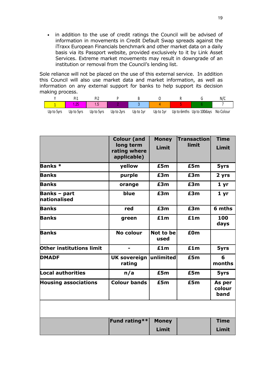• in addition to the use of credit ratings the Council will be advised of information in movements in Credit Default Swap spreads against the iTraxx European Financials benchmark and other market data on a daily basis via its Passport website, provided exclusively to it by Link Asset Services. Extreme market movements may result in downgrade of an institution or removal from the Council's lending list.

Sole reliance will not be placed on the use of this external service. In addition this Council will also use market data and market information, as well as information on any external support for banks to help support its decision making process.

|            | Di                    |            |            |           |           |                            | N/(       |
|------------|-----------------------|------------|------------|-----------|-----------|----------------------------|-----------|
|            | $\Omega$<br>l a facto | $\sim$     |            |           |           |                            |           |
| Up to 5yrs | Up to 5yrs            | Up to 5yrs | Up to 2yrs | Up to 1vr | Up to 1yr | Up to 6mths Up to 100 days | No Colour |

|                                     | <b>Colour (and</b>                       | <b>Money</b>      | <b>Transaction</b> | <b>Time</b>              |
|-------------------------------------|------------------------------------------|-------------------|--------------------|--------------------------|
|                                     | long term<br>rating where<br>applicable) | Limit             | limit              | Limit                    |
| <b>Banks</b> *                      | yellow                                   | £5m               | £5m                | 5yrs                     |
| <b>Banks</b>                        | purple                                   | £3m               | £3m                | 2 yrs                    |
| <b>Banks</b>                        | orange                                   | £3m               | £3m                | 1 yr                     |
| <b>Banks - part</b><br>nationalised | blue                                     | £3m               | £3m                | 1 <sub>yr</sub>          |
| <b>Banks</b>                        | red                                      | £3m               | £3m                | 6 mths                   |
| <b>Banks</b>                        | green                                    | £1m               |                    | 100<br>days              |
| <b>Banks</b>                        | <b>No colour</b>                         | Not to be<br>used | £0 <sub>m</sub>    |                          |
| Other institutions limit            |                                          | £1m               | £1m                | 5yrs                     |
| <b>DMADF</b>                        | <b>UK sovereign</b><br>rating            | unlimited         | £5m                | 6<br>months              |
| Local authorities                   | n/a                                      | £5m               | £5m                | 5yrs                     |
| <b>Housing associations</b>         | <b>Colour bands</b>                      | £5m               | £5m                | As per<br>colour<br>band |
|                                     |                                          |                   |                    |                          |
|                                     | Fund rating**                            | <b>Money</b>      |                    | <b>Time</b>              |
|                                     |                                          | Limit             |                    | Limit                    |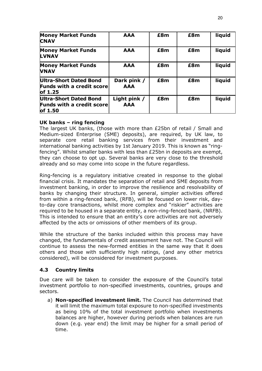| <b>Money Market Funds</b><br><b>CNAV</b>                              | <b>AAA</b>                 | £8m | £8m | liquid |
|-----------------------------------------------------------------------|----------------------------|-----|-----|--------|
| <b>Money Market Funds</b><br><b>LVNAV</b>                             | <b>AAA</b>                 | £8m | £8m | liquid |
| <b>Money Market Funds</b><br><b>VNAV</b>                              | <b>AAA</b>                 | £8m | £8m | liquid |
| Ultra-Short Dated Bond<br><b>Funds with a credit score</b><br>of 1.25 | Dark pink /<br><b>AAA</b>  | £8m | £8m | liquid |
| Ultra-Short Dated Bond<br><b>Funds with a credit score</b><br>of 1.50 | Light pink /<br><b>AAA</b> | £8m | £8m | liquid |

#### UK banks – ring fencing

The largest UK banks, (those with more than £25bn of retail / Small and Medium-sized Enterprise (SME) deposits), are required, by UK law, to separate core retail banking services from their investment and international banking activities by 1st January 2019. This is known as "ringfencing". Whilst smaller banks with less than £25bn in deposits are exempt, they can choose to opt up. Several banks are very close to the threshold already and so may come into scope in the future regardless.

Ring-fencing is a regulatory initiative created in response to the global financial crisis. It mandates the separation of retail and SME deposits from investment banking, in order to improve the resilience and resolvability of banks by changing their structure. In general, simpler activities offered from within a ring-fenced bank, (RFB), will be focused on lower risk, dayto-day core transactions, whilst more complex and "riskier" activities are required to be housed in a separate entity, a non-ring-fenced bank, (NRFB). This is intended to ensure that an entity's core activities are not adversely affected by the acts or omissions of other members of its group.

While the structure of the banks included within this process may have changed, the fundamentals of credit assessment have not. The Council will continue to assess the new-formed entities in the same way that it does others and those with sufficiently high ratings, (and any other metrics considered), will be considered for investment purposes.

#### 4.3 Country limits

Due care will be taken to consider the exposure of the Council's total investment portfolio to non-specified investments, countries, groups and sectors.

a) **Non-specified investment limit.** The Council has determined that it will limit the maximum total exposure to non-specified investments as being 10% of the total investment portfolio when investments balances are higher, however during periods when balances are run down (e.g. year end) the limit may be higher for a small period of time.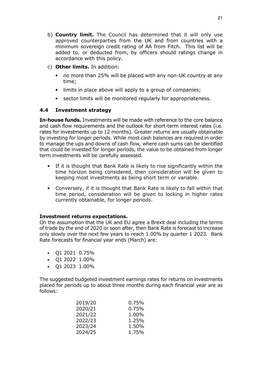- b) **Country limit.** The Council has determined that it will only use approved counterparties from the UK and from countries with a minimum sovereign credit rating of AA from Fitch. This list will be added to, or deducted from, by officers should ratings change in accordance with this policy.
- c) Other limits. In addition:
	- no more than 25% will be placed with any non-UK country at any time;
	- limits in place above will apply to a group of companies;
	- sector limits will be monitored regularly for appropriateness.

#### 4.4 Investment strategy

In-house funds. Investments will be made with reference to the core balance and cash flow requirements and the outlook for short-term interest rates (i.e. rates for investments up to 12 months). Greater returns are usually obtainable by investing for longer periods. While most cash balances are required in order to manage the ups and downs of cash flow, where cash sums can be identified that could be invested for longer periods, the value to be obtained from longer term investments will be carefully assessed.

- If it is thought that Bank Rate is likely to rise significantly within the time horizon being considered, then consideration will be given to keeping most investments as being short term or variable.
- Conversely, if it is thought that Bank Rate is likely to fall within that time period, consideration will be given to locking in higher rates currently obtainable, for longer periods.

#### Investment returns expectations.

On the assumption that the UK and EU agree a Brexit deal including the terms of trade by the end of 2020 or soon after, then Bank Rate is forecast to increase only slowly over the next few years to reach 1.00% by quarter 1 2023. Bank Rate forecasts for financial year ends (March) are:

- Q1 2021 0.75%
- $\cdot$  01 2022 1.00%
- Q1 2023 1.00%

The suggested budgeted investment earnings rates for returns on investments placed for periods up to about three months during each financial year are as follows:

| 2019/20 | 0.75% |
|---------|-------|
| 2020/21 | 0.75% |
| 2021/22 | 1.00% |
| 2022/23 | 1.25% |
| 2023/24 | 1.50% |
| 2024/25 | 1.75% |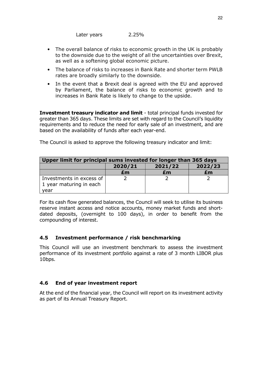Later years 2.25%

- The overall balance of risks to economic growth in the UK is probably to the downside due to the weight of all the uncertainties over Brexit, as well as a softening global economic picture.
- The balance of risks to increases in Bank Rate and shorter term PWLB rates are broadly similarly to the downside.
- In the event that a Brexit deal is agreed with the EU and approved by Parliament, the balance of risks to economic growth and to increases in Bank Rate is likely to change to the upside.

Investment treasury indicator and limit - total principal funds invested for greater than 365 days. These limits are set with regard to the Council's liquidity requirements and to reduce the need for early sale of an investment, and are based on the availability of funds after each year-end.

The Council is asked to approve the following treasury indicator and limit:

| Upper limit for principal sums invested for longer than 365 days |                               |    |    |
|------------------------------------------------------------------|-------------------------------|----|----|
|                                                                  | 2020/21<br>2021/22<br>2022/23 |    |    |
|                                                                  | £m                            | £m | £m |
| Investments in excess of<br>1 year maturing in each              |                               |    |    |
| vear                                                             |                               |    |    |

For its cash flow generated balances, the Council will seek to utilise its business reserve instant access and notice accounts, money market funds and shortdated deposits, (overnight to 100 days), in order to benefit from the compounding of interest.

#### 4.5 Investment performance / risk benchmarking

This Council will use an investment benchmark to assess the investment performance of its investment portfolio against a rate of 3 month LIBOR plus 10bps.

#### 4.6 End of year investment report

At the end of the financial year, the Council will report on its investment activity as part of its Annual Treasury Report.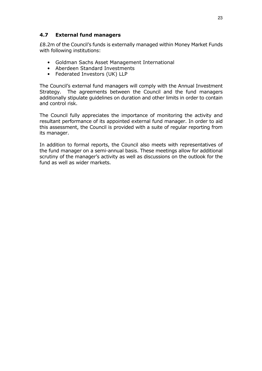#### 4.7 External fund managers

£8.2m of the Council's funds is externally managed within Money Market Funds with following institutions:

- Goldman Sachs Asset Management International
- Aberdeen Standard Investments
- Federated Investors (UK) LLP

The Council's external fund managers will comply with the Annual Investment Strategy. The agreements between the Council and the fund managers additionally stipulate guidelines on duration and other limits in order to contain and control risk.

The Council fully appreciates the importance of monitoring the activity and resultant performance of its appointed external fund manager. In order to aid this assessment, the Council is provided with a suite of regular reporting from its manager.

In addition to formal reports, the Council also meets with representatives of the fund manager on a semi-annual basis. These meetings allow for additional scrutiny of the manager's activity as well as discussions on the outlook for the fund as well as wider markets.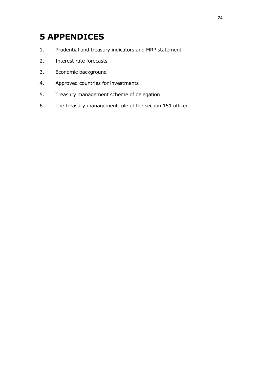## 5 APPENDICES

- 1. Prudential and treasury indicators and MRP statement
- 2. Interest rate forecasts
- 3. Economic background
- 4. Approved countries for investments
- 5. Treasury management scheme of delegation
- 6. The treasury management role of the section 151 officer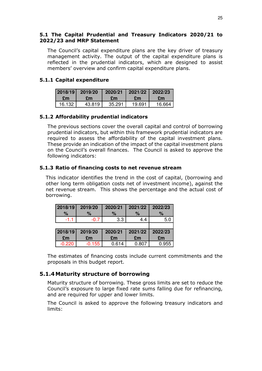#### 5.1 The Capital Prudential and Treasury Indicators 2020/21 to 2022/23 and MRP Statement

The Council's capital expenditure plans are the key driver of treasury management activity. The output of the capital expenditure plans is reflected in the prudential indicators, which are designed to assist members' overview and confirm capital expenditure plans.

#### 5.1.1 Capital expenditure

|        | 2018/19 2019/20 2020/21 2021/22 2022/23 |           |           |        |
|--------|-----------------------------------------|-----------|-----------|--------|
| Fm     | £m                                      | <b>Em</b> | <b>Em</b> | £m     |
| 16.132 | 43.819                                  | 35.291    | 19.691    | 16.664 |

#### 5.1.2 Affordability prudential indicators

The previous sections cover the overall capital and control of borrowing prudential indicators, but within this framework prudential indicators are required to assess the affordability of the capital investment plans. These provide an indication of the impact of the capital investment plans on the Council's overall finances. The Council is asked to approve the following indicators:

#### 5.1.3 Ratio of financing costs to net revenue stream

This indicator identifies the trend in the cost of capital, (borrowing and other long term obligation costs net of investment income), against the net revenue stream. This shows the percentage and the actual cost of borrowing.

| 2018/19  | 2019/20  | 2020/21 | 2021/22 | 2022/23 |
|----------|----------|---------|---------|---------|
| %        | $\%$     | $\%$    | $\%$    | $\%$    |
| $-1.1$   | $-0.7$   | 3.3     | 4.4     | 5.0     |
|          |          |         |         |         |
| 2018/19  | 2019/20  | 2020/21 | 2021/22 | 2022/23 |
| £m       | £m       | £m      | £m      | £m      |
| $-0.220$ | $-0.155$ | 0.614   | 0.807   | 0.955   |

The estimates of financing costs include current commitments and the proposals in this budget report.

#### 5.1.4Maturity structure of borrowing

Maturity structure of borrowing. These gross limits are set to reduce the Council's exposure to large fixed rate sums falling due for refinancing, and are required for upper and lower limits.

The Council is asked to approve the following treasury indicators and limits: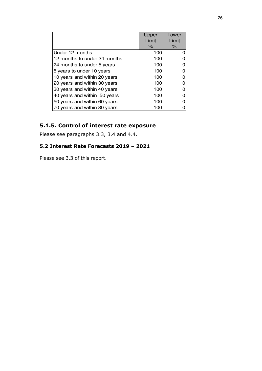|                              | Upper | Lower |
|------------------------------|-------|-------|
|                              | Limit | Limit |
|                              | %     | %     |
| Under 12 months              | 100   |       |
| 12 months to under 24 months | 100   |       |
| 24 months to under 5 years   | 100   |       |
| 5 years to under 10 years    | 100   |       |
| 10 years and within 20 years | 100   |       |
| 20 years and within 30 years | 100   |       |
| 30 years and within 40 years | 100   |       |
| 40 years and within 50 years | 100   |       |
| 50 years and within 60 years | 100   |       |
| 70 years and within 80 years | 100   |       |

### 5.1.5. Control of interest rate exposure

Please see paragraphs 3.3, 3.4 and 4.4.

#### 5.2 Interest Rate Forecasts 2019 – 2021

Please see 3.3 of this report.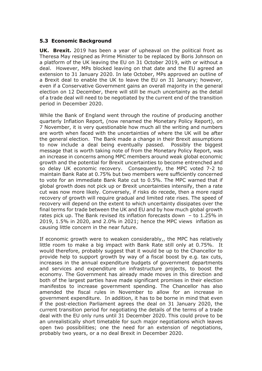#### 5.3 Economic Background

UK. Brexit. 2019 has been a year of upheaval on the political front as Theresa May resigned as Prime Minister to be replaced by Boris Johnson on a platform of the UK leaving the EU on 31 October 2019, with or without a deal. However, MPs blocked leaving on that date and the EU agreed an extension to 31 January 2020. In late October, MPs approved an outline of a Brexit deal to enable the UK to leave the EU on 31 January; however, even if a Conservative Government gains an overall majority in the general election on 12 December, there will still be much uncertainty as the detail of a trade deal will need to be negotiated by the current end of the transition period in December 2020.

While the Bank of England went through the routine of producing another quarterly Inflation Report, (now renamed the Monetary Policy Report), on 7 November, it is very questionable how much all the writing and numbers are worth when faced with the uncertainties of where the UK will be after the general election. The Bank made a change in their Brexit assumptions to now include a deal being eventually passed. Possibly the biggest message that is worth taking note of from the Monetary Policy Report, was an increase in concerns among MPC members around weak global economic growth and the potential for Brexit uncertainties to become entrenched and so delay UK economic recovery. Consequently, the MPC voted 7-2 to maintain Bank Rate at 0.75% but two members were sufficiently concerned to vote for an immediate Bank Rate cut to 0.5%. The MPC warned that if global growth does not pick up or Brexit uncertainties intensify, then a rate cut was now more likely. Conversely, if risks do recede, then a more rapid recovery of growth will require gradual and limited rate rises. The speed of recovery will depend on the extent to which uncertainty dissipates over the final terms for trade between the UK and EU and by how much global growth rates pick up. The Bank revised its inflation forecasts down – to 1.25% in 2019, 1.5% in 2020, and 2.0% in 2021; hence the MPC views inflation as causing little concern in the near future.

If economic growth were to weaken considerably,, the MPC has relatively little room to make a big impact with Bank Rate still only at 0.75%. It would therefore, probably suggest that it would be up to the Chancellor to provide help to support growth by way of a fiscal boost by e.g. tax cuts, increases in the annual expenditure budgets of government departments and services and expenditure on infrastructure projects, to boost the economy. The Government has already made moves in this direction and both of the largest parties have made significant promises in their election manifestos to increase government spending. The Chancellor has also amended the fiscal rules in November to allow for an increase in government expenditure. In addition, it has to be borne in mind that even if the post-election Parliament agrees the deal on 31 January 2020, the current transition period for negotiating the details of the terms of a trade deal with the EU only runs until 31 December 2020. This could prove to be an unrealistically short timetable for such major negotiations which leaves open two possibilities; one the need for an extension of negotiations, probably two years, or a no deal Brexit in December 2020.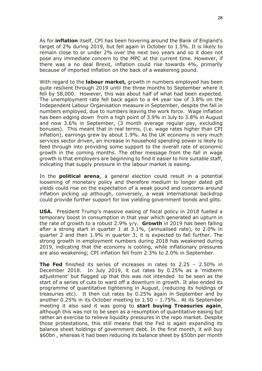As for **inflation** itself, CPI has been hovering around the Bank of England's target of 2% during 2019, but fell again in October to 1.5%. It is likely to remain close to or under 2% over the next two years and so it does not pose any immediate concern to the MPC at the current time. However, if there was a no deal Brexit, inflation could rise towards 4%, primarily because of imported inflation on the back of a weakening pound.

With regard to the labour market, growth in numbers employed has been quite resilient through 2019 until the three months to September where it fell by 58,000. However, this was about half of what had been expected. The unemployment rate fell back again to a 44 year low of 3.8% on the Independent Labour Organisation measure in September, despite the fall in numbers employed, due to numbers leaving the work force. Wage inflation has been edging down from a high point of 3.9% in July to 3.8% in August and now 3.6% in September, (3 month average regular pay, excluding bonuses). This meant that in real terms, (i.e. wage rates higher than CPI inflation), earnings grew by about 1.9%. As the UK economy is very much services sector driven, an increase in household spending power is likely to feed through into providing some support to the overall rate of economic growth in the coming months. The other message from the fall in wage growth is that employers are beginning to find it easier to hire suitable staff, indicating that supply pressure in the labour market is easing.

In the **political arena**, a general election could result in a potential loosening of monetary policy and therefore medium to longer dated gilt yields could rise on the expectation of a weak pound and concerns around inflation picking up although, conversely, a weak international backdrop could provide further support for low yielding government bonds and gilts.

USA. President Trump's massive easing of fiscal policy in 2018 fuelled a temporary boost in consumption in that year which generated an upturn in the rate of growth to a robust 2.9%  $y/y$ . Growth in 2019 has been falling after a strong start in quarter 1 at 3.1%, (annualised rate), to 2.0% in quarter 2 and then 1.9% in quarter 3; it is expected to fall further. The strong growth in employment numbers during 2018 has weakened during 2019, indicating that the economy is cooling, while inflationary pressures are also weakening; CPI inflation fell from 2.3% to 2.0% in September.

**The Fed** finished its series of increases in rates to  $2.25 - 2.50\%$  in December 2018. In July 2019, it cut rates by 0.25% as a 'midterm adjustment' but flagged up that this was not intended to be seen as the start of a series of cuts to ward off a downturn in growth. It also ended its programme of quantitative tightening in August, (reducing its holdings of treasuries etc). It then cut rates by 0.25% again in September and by another 0.25% in its October meeting to 1.50 – 1.75%.. At its September meeting it also said it was going to start buying Treasuries again, although this was not to be seen as a resumption of quantitative easing but rather an exercise to relieve liquidity pressures in the repo market. Despite those protestations, this still means that the Fed is again expanding its balance sheet holdings of government debt. In the first month, it will buy \$60bn , whereas it had been reducing its balance sheet by \$50bn per month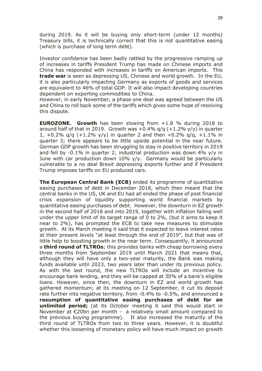during 2019. As it will be buying only short-term (under 12 months) Treasury bills, it is technically correct that this is not quantitative easing (which is purchase of long term debt).

Investor confidence has been badly rattled by the progressive ramping up of increases in tariffs President Trump has made on Chinese imports and China has responded with increases in tariffs on American imports. This trade war is seen as depressing US, Chinese and world growth. In the EU, it is also particularly impacting Germany as exports of goods and services are equivalent to 46% of total GDP. It will also impact developing countries dependent on exporting commodities to China.

However, in early November, a phase one deal was agreed between the US and China to roll back some of the tariffs which gives some hope of resolving this dispute.

EUROZONE. Growth has been slowing from +1.8 % during 2018 to around half of that in 2019. Growth was  $+0.4\%$  q/q ( $+1.2\%$  y/y) in quarter 1,  $+0.2\%$  g/g ( $+1.2\%$  y/y) in quarter 2 and then  $+0.2\%$  g/g,  $+1.1\%$  in quarter 3; there appears to be little upside potential in the near future. German GDP growth has been struggling to stay in positive territory in 2019 and fell by  $-0.1\%$  in quarter 2; industrial production was down 4% y/y in June with car production down 10% y/y. Germany would be particularly vulnerable to a no deal Brexit depressing exports further and if President Trump imposes tariffs on EU produced cars.

The European Central Bank (ECB) ended its programme of quantitative easing purchases of debt in December 2018, which then meant that the central banks in the US, UK and EU had all ended the phase of post financial crisis expansion of liquidity supporting world financial markets by quantitative easing purchases of debt. However, the downturn in EZ growth in the second half of 2018 and into 2019, together with inflation falling well under the upper limit of its target range of 0 to 2%, (but it aims to keep it near to 2%), has prompted the ECB to take new measures to stimulate growth. At its March meeting it said that it expected to leave interest rates at their present levels "at least through the end of 2019", but that was of little help to boosting growth in the near term. Consequently, it announced a **third round of TLTROs**; this provides banks with cheap borrowing every three months from September 2019 until March 2021 that means that, although they will have only a two-year maturity, the Bank was making funds available until 2023, two years later than under its previous policy. As with the last round, the new TLTROs will include an incentive to encourage bank lending, and they will be capped at 30% of a bank's eligible loans. However, since then, the downturn in EZ and world growth has gathered momentum; at its meeting on 12 September, it cut its deposit rate further into negative territory, from -0.4% to -0.5%, and announced a resumption of quantitative easing purchases of debt for an unlimited period; (at its October meeting it said this would start in November at €20bn per month - a relatively small amount compared to the previous buying programme). It also increased the maturity of the third round of TLTROs from two to three years. However, it is doubtful whether this loosening of monetary policy will have much impact on growth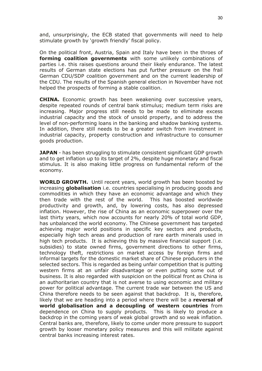and, unsurprisingly, the ECB stated that governments will need to help stimulate growth by 'growth friendly' fiscal policy.

On the political front, Austria, Spain and Italy have been in the throes of forming coalition governments with some unlikely combinations of parties i.e. this raises questions around their likely endurance. The latest results of German state elections has put further pressure on the frail German CDU/SDP coalition government and on the current leadership of the CDU. The results of the Spanish general election in November have not helped the prospects of forming a stable coalition.

CHINA. Economic growth has been weakening over successive years, despite repeated rounds of central bank stimulus; medium term risks are increasing. Major progress still needs to be made to eliminate excess industrial capacity and the stock of unsold property, and to address the level of non-performing loans in the banking and shadow banking systems. In addition, there still needs to be a greater switch from investment in industrial capacity, property construction and infrastructure to consumer goods production.

**JAPAN** - has been struggling to stimulate consistent significant GDP growth and to get inflation up to its target of 2%, despite huge monetary and fiscal stimulus. It is also making little progress on fundamental reform of the economy.

WORLD GROWTH. Until recent years, world growth has been boosted by increasing **globalisation** i.e. countries specialising in producing goods and commodities in which they have an economic advantage and which they then trade with the rest of the world. This has boosted worldwide productivity and growth, and, by lowering costs, has also depressed inflation. However, the rise of China as an economic superpower over the last thirty years, which now accounts for nearly 20% of total world GDP, has unbalanced the world economy. The Chinese government has targeted achieving major world positions in specific key sectors and products, especially high tech areas and production of rare earth minerals used in high tech products. It is achieving this by massive financial support (i.e. subsidies) to state owned firms, government directions to other firms, technology theft, restrictions on market access by foreign firms and informal targets for the domestic market share of Chinese producers in the selected sectors. This is regarded as being unfair competition that is putting western firms at an unfair disadvantage or even putting some out of business. It is also regarded with suspicion on the political front as China is an authoritarian country that is not averse to using economic and military power for political advantage. The current trade war between the US and China therefore needs to be seen against that backdrop. It is, therefore, likely that we are heading into a period where there will be a reversal of world globalisation and a decoupling of western countries from dependence on China to supply products. This is likely to produce a backdrop in the coming years of weak global growth and so weak inflation. Central banks are, therefore, likely to come under more pressure to support growth by looser monetary policy measures and this will militate against central banks increasing interest rates.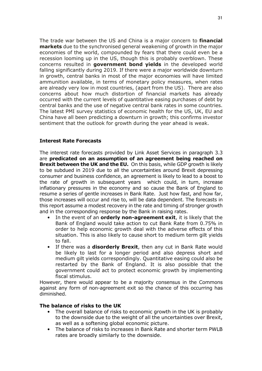The trade war between the US and China is a major concern to financial **markets** due to the synchronised general weakening of growth in the major economies of the world, compounded by fears that there could even be a recession looming up in the US, though this is probably overblown. These concerns resulted in government bond yields in the developed world falling significantly during 2019. If there were a major worldwide downturn in growth, central banks in most of the major economies will have limited ammunition available, in terms of monetary policy measures, when rates are already very low in most countries, (apart from the US). There are also concerns about how much distortion of financial markets has already occurred with the current levels of quantitative easing purchases of debt by central banks and the use of negative central bank rates in some countries. The latest PMI survey statistics of economic health for the US, UK, EU and China have all been predicting a downturn in growth; this confirms investor sentiment that the outlook for growth during the year ahead is weak.

#### Interest Rate Forecasts

The interest rate forecasts provided by Link Asset Services in paragraph 3.3 are predicated on an assumption of an agreement being reached on **Brexit between the UK and the EU.** On this basis, while GDP growth is likely to be subdued in 2019 due to all the uncertainties around Brexit depressing consumer and business confidence, an agreement is likely to lead to a boost to the rate of growth in subsequent years which could, in turn, increase inflationary pressures in the economy and so cause the Bank of England to resume a series of gentle increases in Bank Rate. Just how fast, and how far, those increases will occur and rise to, will be data dependent. The forecasts in this report assume a modest recovery in the rate and timing of stronger growth and in the corresponding response by the Bank in raising rates.

- In the event of an **orderly non-agreement exit**, it is likely that the Bank of England would take action to cut Bank Rate from 0.75% in order to help economic growth deal with the adverse effects of this situation. This is also likely to cause short to medium term gilt yields to fall.
- If there was a **disorderly Brexit**, then any cut in Bank Rate would be likely to last for a longer period and also depress short and medium gilt yields correspondingly. Quantitative easing could also be restarted by the Bank of England. It is also possible that the government could act to protect economic growth by implementing fiscal stimulus.

However, there would appear to be a majority consensus in the Commons against any form of non-agreement exit so the chance of this occurring has diminished.

#### The balance of risks to the UK

- The overall balance of risks to economic growth in the UK is probably to the downside due to the weight of all the uncertainties over Brexit, as well as a softening global economic picture.
- The balance of risks to increases in Bank Rate and shorter term PWLB rates are broadly similarly to the downside.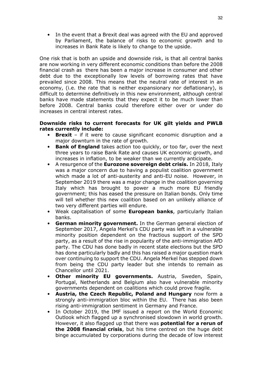In the event that a Brexit deal was agreed with the EU and approved by Parliament, the balance of risks to economic growth and to increases in Bank Rate is likely to change to the upside.

One risk that is both an upside and downside risk, is that all central banks are now working in very different economic conditions than before the 2008 financial crash as there has been a major increase in consumer and other debt due to the exceptionally low levels of borrowing rates that have prevailed since 2008. This means that the neutral rate of interest in an economy, (i.e. the rate that is neither expansionary nor deflationary), is difficult to determine definitively in this new environment, although central banks have made statements that they expect it to be much lower than before 2008. Central banks could therefore either over or under do increases in central interest rates.

#### Downside risks to current forecasts for UK gilt yields and PWLB rates currently include:

- Brexit if it were to cause significant economic disruption and a major downturn in the rate of growth.
- **Bank of England** takes action too quickly, or too far, over the next three years to raise Bank Rate and causes UK economic growth, and increases in inflation, to be weaker than we currently anticipate.
- A resurgence of the **Eurozone sovereign debt crisis.** In 2018, Italy was a major concern due to having a populist coalition government which made a lot of anti-austerity and anti-EU noise. However, in September 2019 there was a major change in the coalition governing Italy which has brought to power a much more EU friendly government; this has eased the pressure on Italian bonds. Only time will tell whether this new coalition based on an unlikely alliance of two very different parties will endure.
- Weak capitalisation of some **European banks**, particularly Italian banks.
- German minority government. In the German general election of September 2017, Angela Merkel's CDU party was left in a vulnerable minority position dependent on the fractious support of the SPD party, as a result of the rise in popularity of the anti-immigration AfD party. The CDU has done badly in recent state elections but the SPD has done particularly badly and this has raised a major question mark over continuing to support the CDU. Angela Merkel has stepped down from being the CDU party leader but she intends to remain as Chancellor until 2021.
- Other minority EU governments. Austria, Sweden, Spain, Portugal, Netherlands and Belgium also have vulnerable minority governments dependent on coalitions which could prove fragile.
- Austria, the Czech Republic, Poland and Hungary now form a strongly anti-immigration bloc within the EU. There has also been rising anti-immigration sentiment in Germany and France.
- In October 2019, the IMF issued a report on the World Economic Outlook which flagged up a synchronised slowdown in world growth. However, it also flagged up that there was **potential for a rerun of** the 2008 financial crisis, but his time centred on the huge debt binge accumulated by corporations during the decade of low interest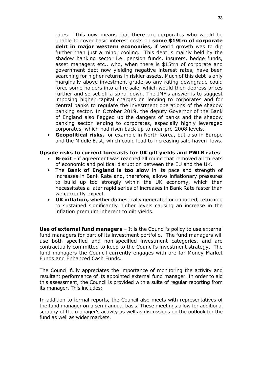rates. This now means that there are corporates who would be unable to cover basic interest costs on some \$19trn of corporate debt in major western economies, if world growth was to dip further than just a minor cooling. This debt is mainly held by the shadow banking sector i.e. pension funds, insurers, hedge funds, asset managers etc., who, when there is \$15trn of corporate and government debt now yielding negative interest rates, have been searching for higher returns in riskier assets. Much of this debt is only marginally above investment grade so any rating downgrade could force some holders into a fire sale, which would then depress prices further and so set off a spiral down. The IMF's answer is to suggest imposing higher capital charges on lending to corporates and for central banks to regulate the investment operations of the shadow banking sector. In October 2019, the deputy Governor of the Bank of England also flagged up the dangers of banks and the shadow banking sector lending to corporates, especially highly leveraged corporates, which had risen back up to near pre-2008 levels.

• Geopolitical risks, for example in North Korea, but also in Europe and the Middle East, which could lead to increasing safe haven flows.

#### Upside risks to current forecasts for UK gilt yields and PWLB rates

- **Brexit** if agreement was reached all round that removed all threats of economic and political disruption between the EU and the UK.
- The **Bank of England is too slow** in its pace and strength of increases in Bank Rate and, therefore, allows inflationary pressures to build up too strongly within the UK economy, which then necessitates a later rapid series of increases in Bank Rate faster than we currently expect.
- UK inflation, whether domestically generated or imported, returning to sustained significantly higher levels causing an increase in the inflation premium inherent to gilt yields.

Use of external fund managers - It is the Council's policy to use external fund managers for part of its investment portfolio. The fund managers will use both specified and non-specified investment categories, and are contractually committed to keep to the Council's investment strategy. The fund managers the Council currently engages with are for Money Market Funds and Enhanced Cash Funds.

The Council fully appreciates the importance of monitoring the activity and resultant performance of its appointed external fund manager. In order to aid this assessment, the Council is provided with a suite of regular reporting from its manager. This includes:

In addition to formal reports, the Council also meets with representatives of the fund manager on a semi-annual basis. These meetings allow for additional scrutiny of the manager's activity as well as discussions on the outlook for the fund as well as wider markets.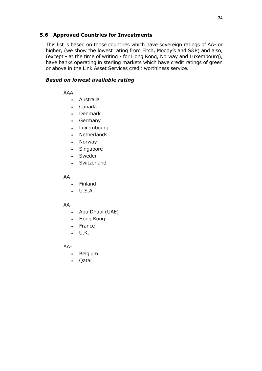#### 5.6 Approved Countries for Investments

This list is based on those countries which have sovereign ratings of AA- or higher, (we show the lowest rating from Fitch, Moody's and S&P) and also, (except - at the time of writing - for Hong Kong, Norway and Luxembourg), have banks operating in sterling markets which have credit ratings of green or above in the Link Asset Services credit worthiness service.

#### Based on lowest available rating

AAA

- Australia
- Canada
- Denmark
- Germany
- Luxembourg
- Netherlands
- Norway
- Singapore
- Sweden
- **Switzerland**

 $AA+$ 

- Finland
- U.S.A.

#### AA

- Abu Dhabi (UAE)
- Hong Kong
- France
- U.K.

AA-

- Belgium
- Qatar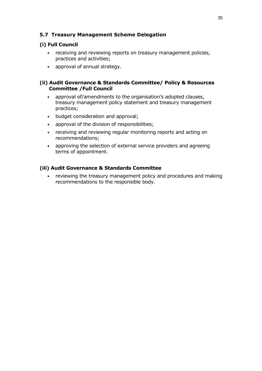#### 5.7 Treasury Management Scheme Delegation

#### (i) Full Council

- receiving and reviewing reports on treasury management policies, practices and activities;
- approval of annual strategy.

#### (ii) Audit Governance & Standards Committee/ Policy & Resources Committee /Full Council

- approval of/amendments to the organisation's adopted clauses, treasury management policy statement and treasury management practices;
- budget consideration and approval;
- approval of the division of responsibilities;
- receiving and reviewing regular monitoring reports and acting on recommendations;
- approving the selection of external service providers and agreeing terms of appointment.

#### (iii) Audit Governance & Standards Committee

• reviewing the treasury management policy and procedures and making recommendations to the responsible body.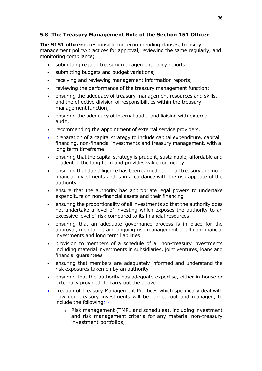#### 5.8 The Treasury Management Role of the Section 151 Officer

The S151 officer is responsible for recommending clauses, treasury management policy/practices for approval, reviewing the same regularly, and monitoring compliance;

- submitting regular treasury management policy reports;
- submitting budgets and budget variations;
- receiving and reviewing management information reports;
- reviewing the performance of the treasury management function;
- ensuring the adequacy of treasury management resources and skills, and the effective division of responsibilities within the treasury management function;
- ensuring the adequacy of internal audit, and liaising with external audit;
- recommending the appointment of external service providers.
- preparation of a capital strategy to include capital expenditure, capital financing, non-financial investments and treasury management, with a long term timeframe
- ensuring that the capital strategy is prudent, sustainable, affordable and prudent in the long term and provides value for money
- ensuring that due diligence has been carried out on all treasury and nonfinancial investments and is in accordance with the risk appetite of the authority
- ensure that the authority has appropriate legal powers to undertake expenditure on non-financial assets and their financing
- ensuring the proportionality of all investments so that the authority does not undertake a level of investing which exposes the authority to an excessive level of risk compared to its financial resources
- ensuring that an adequate governance process is in place for the approval, monitoring and ongoing risk management of all non-financial investments and long term liabilities
- provision to members of a schedule of all non-treasury investments including material investments in subsidiaries, joint ventures, loans and financial guarantees
- ensuring that members are adequately informed and understand the risk exposures taken on by an authority
- ensuring that the authority has adequate expertise, either in house or externally provided, to carry out the above
- creation of Treasury Management Practices which specifically deal with how non treasury investments will be carried out and managed, to include the following:
	- o Risk management (TMP1 and schedules), including investment and risk management criteria for any material non-treasury investment portfolios;